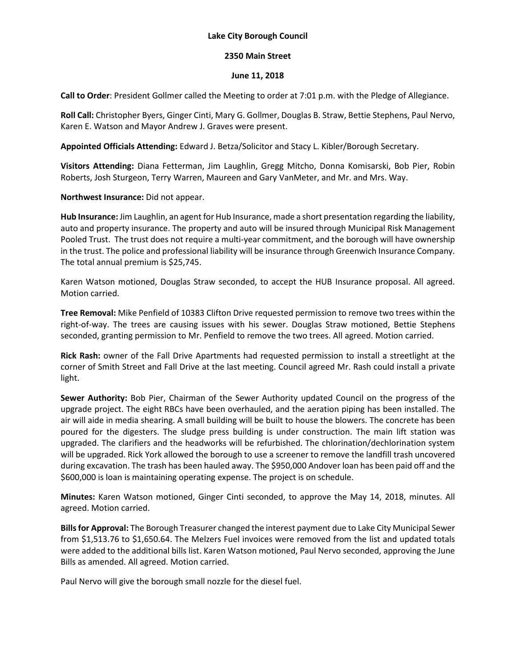## **Lake City Borough Council**

## **2350 Main Street**

## **June 11, 2018**

**Call to Order**: President Gollmer called the Meeting to order at 7:01 p.m. with the Pledge of Allegiance.

**Roll Call:** Christopher Byers, Ginger Cinti, Mary G. Gollmer, Douglas B. Straw, Bettie Stephens, Paul Nervo, Karen E. Watson and Mayor Andrew J. Graves were present.

**Appointed Officials Attending:** Edward J. Betza/Solicitor and Stacy L. Kibler/Borough Secretary.

**Visitors Attending:** Diana Fetterman, Jim Laughlin, Gregg Mitcho, Donna Komisarski, Bob Pier, Robin Roberts, Josh Sturgeon, Terry Warren, Maureen and Gary VanMeter, and Mr. and Mrs. Way.

**Northwest Insurance:** Did not appear.

**Hub Insurance:** Jim Laughlin, an agent for Hub Insurance, made a short presentation regarding the liability, auto and property insurance. The property and auto will be insured through Municipal Risk Management Pooled Trust. The trust does not require a multi-year commitment, and the borough will have ownership in the trust. The police and professional liability will be insurance through Greenwich Insurance Company. The total annual premium is \$25,745.

Karen Watson motioned, Douglas Straw seconded, to accept the HUB Insurance proposal. All agreed. Motion carried.

**Tree Removal:** Mike Penfield of 10383 Clifton Drive requested permission to remove two trees within the right-of-way. The trees are causing issues with his sewer. Douglas Straw motioned, Bettie Stephens seconded, granting permission to Mr. Penfield to remove the two trees. All agreed. Motion carried.

**Rick Rash:** owner of the Fall Drive Apartments had requested permission to install a streetlight at the corner of Smith Street and Fall Drive at the last meeting. Council agreed Mr. Rash could install a private light.

**Sewer Authority:** Bob Pier, Chairman of the Sewer Authority updated Council on the progress of the upgrade project. The eight RBCs have been overhauled, and the aeration piping has been installed. The air will aide in media shearing. A small building will be built to house the blowers. The concrete has been poured for the digesters. The sludge press building is under construction. The main lift station was upgraded. The clarifiers and the headworks will be refurbished. The chlorination/dechlorination system will be upgraded. Rick York allowed the borough to use a screener to remove the landfill trash uncovered during excavation. The trash has been hauled away. The \$950,000 Andover loan has been paid off and the \$600,000 is loan is maintaining operating expense. The project is on schedule.

**Minutes:** Karen Watson motioned, Ginger Cinti seconded, to approve the May 14, 2018, minutes. All agreed. Motion carried.

**Bills for Approval:** The Borough Treasurer changed the interest payment due to Lake City Municipal Sewer from \$1,513.76 to \$1,650.64. The Melzers Fuel invoices were removed from the list and updated totals were added to the additional bills list. Karen Watson motioned, Paul Nervo seconded, approving the June Bills as amended. All agreed. Motion carried.

Paul Nervo will give the borough small nozzle for the diesel fuel.